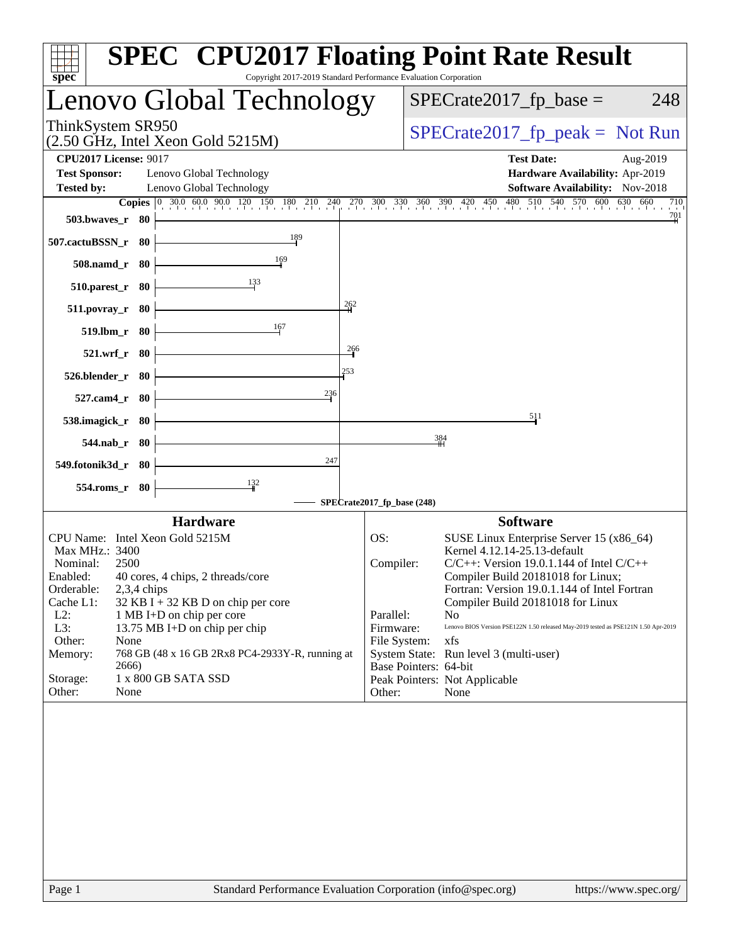| spec <sup>®</sup>                                                                                                                | Copyright 2017-2019 Standard Performance Evaluation Corporation | <b>SPEC<sup>®</sup> CPU2017 Floating Point Rate Result</b>                                       |  |  |
|----------------------------------------------------------------------------------------------------------------------------------|-----------------------------------------------------------------|--------------------------------------------------------------------------------------------------|--|--|
| Lenovo Global Technology                                                                                                         |                                                                 | $SPECrate2017_fp\_base =$<br>248                                                                 |  |  |
| ThinkSystem SR950                                                                                                                | $(2.50 \text{ GHz}, \text{Intel Xeon Gold } 5215 \text{M})$     |                                                                                                  |  |  |
| <b>CPU2017 License: 9017</b>                                                                                                     |                                                                 | <b>Test Date:</b><br>Aug-2019                                                                    |  |  |
| <b>Test Sponsor:</b><br>Lenovo Global Technology                                                                                 |                                                                 | Hardware Availability: Apr-2019                                                                  |  |  |
| <b>Tested by:</b><br>Lenovo Global Technology                                                                                    |                                                                 | Software Availability: Nov-2018                                                                  |  |  |
| <b>Copies</b> $\begin{bmatrix} 0 & 30.0 & 60.0 & 90.0 & 120 & 150 & 180 & 210 & 240 & 270 & 300 & 330 & 360 & 390 \end{bmatrix}$ |                                                                 | 480 510 540 570 600<br>630<br>660<br>$420 \t 450$<br>710                                         |  |  |
| 503.bwayes r 80                                                                                                                  |                                                                 | $\frac{701}{2}$                                                                                  |  |  |
| 507.cactuBSSN_r 80<br>169                                                                                                        | 189                                                             |                                                                                                  |  |  |
| 508.namd_r 80<br>133<br>510.parest_r 80                                                                                          |                                                                 |                                                                                                  |  |  |
| $511. povray_r$ 80                                                                                                               | $\frac{262}{1}$                                                 |                                                                                                  |  |  |
| 167<br>519.lbm_r 80                                                                                                              |                                                                 |                                                                                                  |  |  |
| 521.wrf_r 80                                                                                                                     | $\frac{266}{1}$                                                 |                                                                                                  |  |  |
| 526.blender_r<br>- 80                                                                                                            | 253                                                             |                                                                                                  |  |  |
| 527.cam4_r 80                                                                                                                    | 236                                                             |                                                                                                  |  |  |
| 538.imagick_r 80                                                                                                                 |                                                                 | 511                                                                                              |  |  |
| 544.nab_r 80                                                                                                                     |                                                                 | 384                                                                                              |  |  |
| 549.fotonik3d_r 80                                                                                                               | 247                                                             |                                                                                                  |  |  |
| $\frac{132}{2}$<br>554.roms_r 80                                                                                                 |                                                                 |                                                                                                  |  |  |
|                                                                                                                                  | SPECrate2017_fp_base (248)                                      |                                                                                                  |  |  |
| <b>Hardware</b>                                                                                                                  |                                                                 | <b>Software</b>                                                                                  |  |  |
| CPU Name: Intel Xeon Gold 5215M                                                                                                  | OS:                                                             | SUSE Linux Enterprise Server 15 (x86_64)                                                         |  |  |
| Max MHz.: 3400                                                                                                                   |                                                                 | Kernel 4.12.14-25.13-default                                                                     |  |  |
| Nominal:<br>2500<br>40 cores, 4 chips, 2 threads/core<br>Enabled:                                                                |                                                                 | $C/C++$ : Version 19.0.1.144 of Intel $C/C++$<br>Compiler:<br>Compiler Build 20181018 for Linux; |  |  |
| 2,3,4 chips<br>Orderable:                                                                                                        |                                                                 | Fortran: Version 19.0.1.144 of Intel Fortran                                                     |  |  |
| Cache L1:<br>$32$ KB I + 32 KB D on chip per core                                                                                |                                                                 | Compiler Build 20181018 for Linux                                                                |  |  |
| $L2$ :<br>1 MB I+D on chip per core                                                                                              | Parallel:                                                       | N <sub>o</sub>                                                                                   |  |  |
| L3:<br>13.75 MB I+D on chip per chip                                                                                             |                                                                 | Lenovo BIOS Version PSE122N 1.50 released May-2019 tested as PSE121N 1.50 Apr-2019<br>Firmware:  |  |  |
| Other:<br>None                                                                                                                   |                                                                 | File System:<br>xfs                                                                              |  |  |
| Memory:<br>768 GB (48 x 16 GB 2Rx8 PC4-2933Y-R, running at<br>2666)                                                              |                                                                 | System State: Run level 3 (multi-user)<br>Base Pointers: 64-bit                                  |  |  |
| 1 x 800 GB SATA SSD<br>Storage:                                                                                                  |                                                                 | Peak Pointers: Not Applicable                                                                    |  |  |
| None<br>Other:                                                                                                                   | Other:                                                          | None                                                                                             |  |  |
|                                                                                                                                  |                                                                 |                                                                                                  |  |  |
| Page 1                                                                                                                           |                                                                 | Standard Performance Evaluation Corporation (info@spec.org)<br>https://www.spec.org/             |  |  |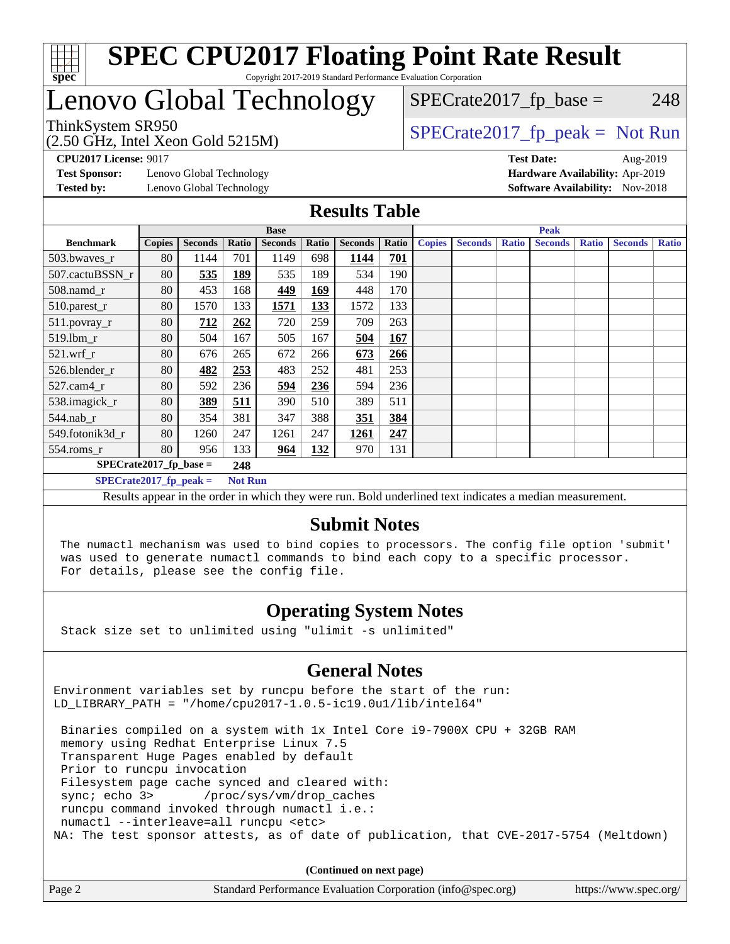

## Lenovo Global Technology

 $SPECTate2017<sub>fr</sub> base = 248$ 

(2.50 GHz, Intel Xeon Gold 5215M)

 $SPECTate2017<sub>fr</sub> peak = Not Run$ 

**[Test Sponsor:](http://www.spec.org/auto/cpu2017/Docs/result-fields.html#TestSponsor)** Lenovo Global Technology **[Hardware Availability:](http://www.spec.org/auto/cpu2017/Docs/result-fields.html#HardwareAvailability)** Apr-2019 **[Tested by:](http://www.spec.org/auto/cpu2017/Docs/result-fields.html#Testedby)** Lenovo Global Technology **[Software Availability:](http://www.spec.org/auto/cpu2017/Docs/result-fields.html#SoftwareAvailability)** Nov-2018

**[CPU2017 License:](http://www.spec.org/auto/cpu2017/Docs/result-fields.html#CPU2017License)** 9017 **[Test Date:](http://www.spec.org/auto/cpu2017/Docs/result-fields.html#TestDate)** Aug-2019

#### **[Results Table](http://www.spec.org/auto/cpu2017/Docs/result-fields.html#ResultsTable)**

|                           | <b>Base</b>   |                |                |                | <b>Peak</b> |                |       |               |                |              |                |              |                |              |
|---------------------------|---------------|----------------|----------------|----------------|-------------|----------------|-------|---------------|----------------|--------------|----------------|--------------|----------------|--------------|
| <b>Benchmark</b>          | <b>Copies</b> | <b>Seconds</b> | Ratio          | <b>Seconds</b> | Ratio       | <b>Seconds</b> | Ratio | <b>Copies</b> | <b>Seconds</b> | <b>Ratio</b> | <b>Seconds</b> | <b>Ratio</b> | <b>Seconds</b> | <b>Ratio</b> |
| $503.bwaves_r$            | 80            | 1144           | 701            | 1149           | 698         | 1144           | 701   |               |                |              |                |              |                |              |
| 507.cactuBSSN r           | 80            | 535            | 189            | 535            | 189         | 534            | 190   |               |                |              |                |              |                |              |
| $508$ .namd $_r$          | 80            | 453            | 168            | 449            | 169         | 448            | 170   |               |                |              |                |              |                |              |
| 510.parest_r              | 80            | 1570           | 133            | 1571           | 133         | 1572           | 133   |               |                |              |                |              |                |              |
| 511.povray_r              | 80            | 712            | 262            | 720            | 259         | 709            | 263   |               |                |              |                |              |                |              |
| 519.1bm r                 | 80            | 504            | 167            | 505            | 167         | 504            | 167   |               |                |              |                |              |                |              |
| $521$ .wrf r              | 80            | 676            | 265            | 672            | 266         | 673            | 266   |               |                |              |                |              |                |              |
| 526.blender r             | 80            | 482            | 253            | 483            | 252         | 481            | 253   |               |                |              |                |              |                |              |
| $527$ .cam $4r$           | 80            | 592            | 236            | 594            | 236         | 594            | 236   |               |                |              |                |              |                |              |
| 538.imagick_r             | 80            | 389            | 511            | 390            | 510         | 389            | 511   |               |                |              |                |              |                |              |
| 544.nab_r                 | 80            | 354            | 381            | 347            | 388         | 351            | 384   |               |                |              |                |              |                |              |
| 549.fotonik3d r           | 80            | 1260           | 247            | 1261           | 247         | 1261           | 247   |               |                |              |                |              |                |              |
| $554$ .roms_r             | 80            | 956            | 133            | 964            | 132         | 970            | 131   |               |                |              |                |              |                |              |
| $SPECrate2017$ fp base =  |               |                | 248            |                |             |                |       |               |                |              |                |              |                |              |
| $SPECrate2017$ _fp_peak = |               |                | <b>Not Run</b> |                |             |                |       |               |                |              |                |              |                |              |

Results appear in the [order in which they were run](http://www.spec.org/auto/cpu2017/Docs/result-fields.html#RunOrder). Bold underlined text [indicates a median measurement](http://www.spec.org/auto/cpu2017/Docs/result-fields.html#Median).

### **[Submit Notes](http://www.spec.org/auto/cpu2017/Docs/result-fields.html#SubmitNotes)**

 The numactl mechanism was used to bind copies to processors. The config file option 'submit' was used to generate numactl commands to bind each copy to a specific processor. For details, please see the config file.

### **[Operating System Notes](http://www.spec.org/auto/cpu2017/Docs/result-fields.html#OperatingSystemNotes)**

Stack size set to unlimited using "ulimit -s unlimited"

#### **[General Notes](http://www.spec.org/auto/cpu2017/Docs/result-fields.html#GeneralNotes)**

Environment variables set by runcpu before the start of the run: LD LIBRARY PATH = "/home/cpu2017-1.0.5-ic19.0u1/lib/intel64"

 Binaries compiled on a system with 1x Intel Core i9-7900X CPU + 32GB RAM memory using Redhat Enterprise Linux 7.5 Transparent Huge Pages enabled by default Prior to runcpu invocation Filesystem page cache synced and cleared with: sync; echo 3> /proc/sys/vm/drop\_caches runcpu command invoked through numactl i.e.: numactl --interleave=all runcpu <etc> NA: The test sponsor attests, as of date of publication, that CVE-2017-5754 (Meltdown)

**(Continued on next page)**

| Page 2 | Standard Performance Evaluation Corporation (info@spec.org)<br>https://www.spec.org/ |
|--------|--------------------------------------------------------------------------------------|
|--------|--------------------------------------------------------------------------------------|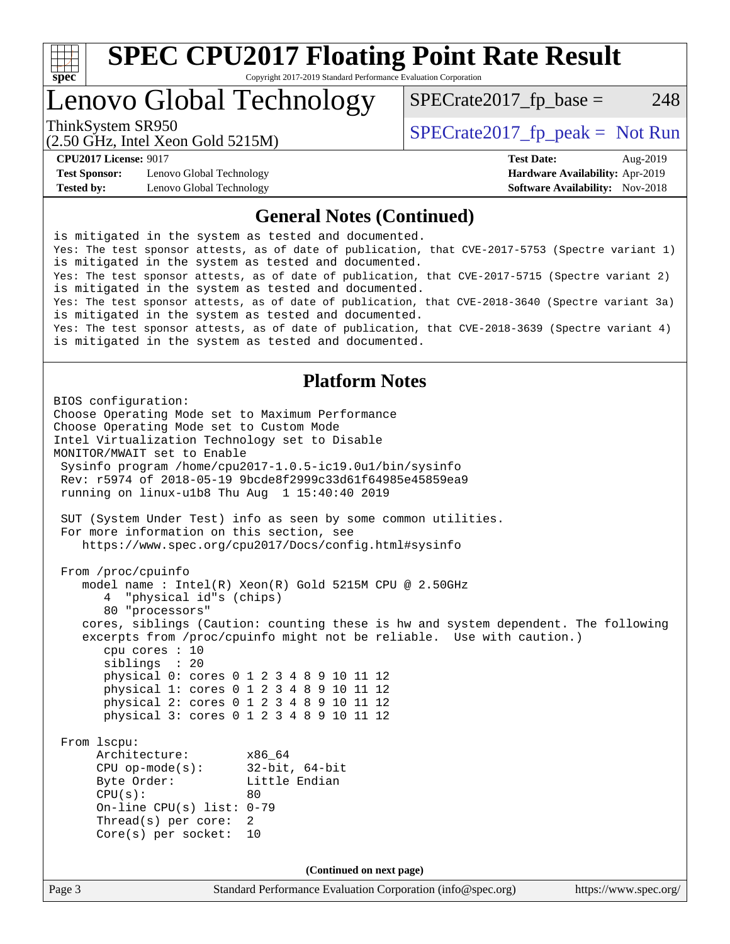

### Lenovo Global Technology

 $SPECTate2017<sub>fr</sub> base = 248$ 

(2.50 GHz, Intel Xeon Gold 5215M)

ThinkSystem SR950<br>  $SPECTI<sub>50</sub> CH<sub>51</sub> Intel Yeson Gold 5215M$ 

**[Test Sponsor:](http://www.spec.org/auto/cpu2017/Docs/result-fields.html#TestSponsor)** Lenovo Global Technology **[Hardware Availability:](http://www.spec.org/auto/cpu2017/Docs/result-fields.html#HardwareAvailability)** Apr-2019 **[Tested by:](http://www.spec.org/auto/cpu2017/Docs/result-fields.html#Testedby)** Lenovo Global Technology **[Software Availability:](http://www.spec.org/auto/cpu2017/Docs/result-fields.html#SoftwareAvailability)** Nov-2018

**[CPU2017 License:](http://www.spec.org/auto/cpu2017/Docs/result-fields.html#CPU2017License)** 9017 **[Test Date:](http://www.spec.org/auto/cpu2017/Docs/result-fields.html#TestDate)** Aug-2019

### **[General Notes \(Continued\)](http://www.spec.org/auto/cpu2017/Docs/result-fields.html#GeneralNotes)**

is mitigated in the system as tested and documented. Yes: The test sponsor attests, as of date of publication, that CVE-2017-5753 (Spectre variant 1) is mitigated in the system as tested and documented. Yes: The test sponsor attests, as of date of publication, that CVE-2017-5715 (Spectre variant 2) is mitigated in the system as tested and documented. Yes: The test sponsor attests, as of date of publication, that CVE-2018-3640 (Spectre variant 3a) is mitigated in the system as tested and documented. Yes: The test sponsor attests, as of date of publication, that CVE-2018-3639 (Spectre variant 4) is mitigated in the system as tested and documented.

### **[Platform Notes](http://www.spec.org/auto/cpu2017/Docs/result-fields.html#PlatformNotes)**

Page 3 Standard Performance Evaluation Corporation [\(info@spec.org\)](mailto:info@spec.org) <https://www.spec.org/> BIOS configuration: Choose Operating Mode set to Maximum Performance Choose Operating Mode set to Custom Mode Intel Virtualization Technology set to Disable MONITOR/MWAIT set to Enable Sysinfo program /home/cpu2017-1.0.5-ic19.0u1/bin/sysinfo Rev: r5974 of 2018-05-19 9bcde8f2999c33d61f64985e45859ea9 running on linux-u1b8 Thu Aug 1 15:40:40 2019 SUT (System Under Test) info as seen by some common utilities. For more information on this section, see <https://www.spec.org/cpu2017/Docs/config.html#sysinfo> From /proc/cpuinfo model name : Intel(R) Xeon(R) Gold 5215M CPU @ 2.50GHz 4 "physical id"s (chips) 80 "processors" cores, siblings (Caution: counting these is hw and system dependent. The following excerpts from /proc/cpuinfo might not be reliable. Use with caution.) cpu cores : 10 siblings : 20 physical 0: cores 0 1 2 3 4 8 9 10 11 12 physical 1: cores 0 1 2 3 4 8 9 10 11 12 physical 2: cores 0 1 2 3 4 8 9 10 11 12 physical 3: cores 0 1 2 3 4 8 9 10 11 12 From lscpu: Architecture: x86\_64 CPU op-mode(s): 32-bit, 64-bit Byte Order: Little Endian  $CPU(s):$  80 On-line CPU(s) list: 0-79 Thread(s) per core: 2 Core(s) per socket: 10 **(Continued on next page)**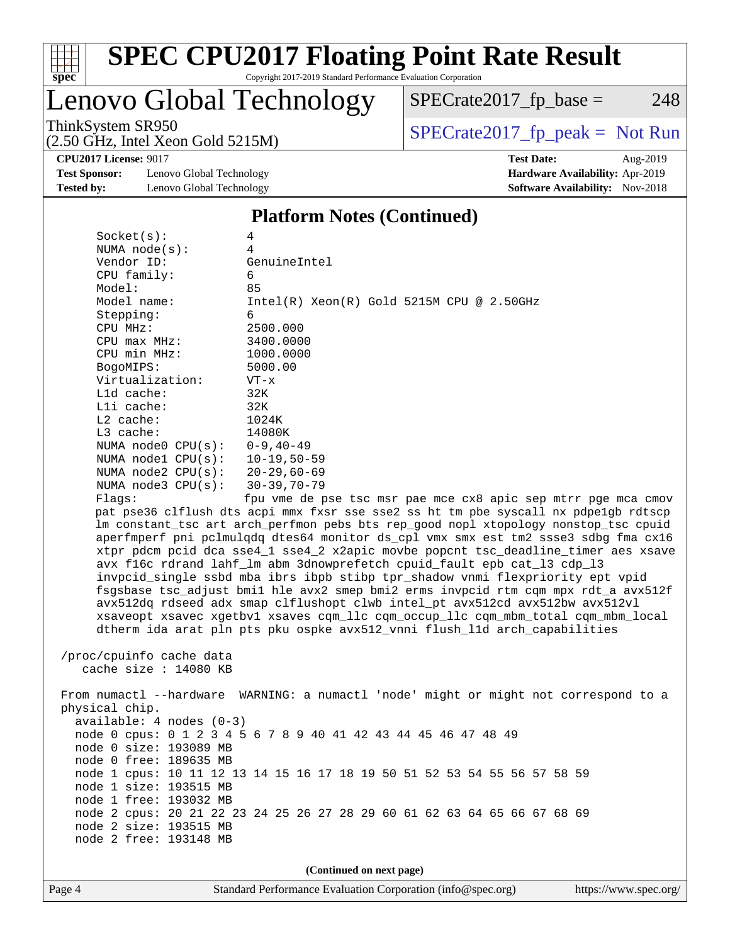

# Lenovo Global Technology

ThinkSystem SR950<br>  $(2.50 \text{ GHz. Intel Yoon Gold } 5215M)$  [SPECrate2017\\_fp\\_peak =](http://www.spec.org/auto/cpu2017/Docs/result-fields.html#SPECrate2017fppeak) Not Run

 $SPECrate2017_fp\_base = 248$ 

(2.50 GHz, Intel Xeon Gold 5215M)

**[CPU2017 License:](http://www.spec.org/auto/cpu2017/Docs/result-fields.html#CPU2017License)** 9017 **[Test Date:](http://www.spec.org/auto/cpu2017/Docs/result-fields.html#TestDate)** Aug-2019

**[Test Sponsor:](http://www.spec.org/auto/cpu2017/Docs/result-fields.html#TestSponsor)** Lenovo Global Technology **[Hardware Availability:](http://www.spec.org/auto/cpu2017/Docs/result-fields.html#HardwareAvailability)** Apr-2019 **[Tested by:](http://www.spec.org/auto/cpu2017/Docs/result-fields.html#Testedby)** Lenovo Global Technology **[Software Availability:](http://www.spec.org/auto/cpu2017/Docs/result-fields.html#SoftwareAvailability)** Nov-2018

### **[Platform Notes \(Continued\)](http://www.spec.org/auto/cpu2017/Docs/result-fields.html#PlatformNotes)**

| Socket(s):                 | 4                                                                                                                                                                         |
|----------------------------|---------------------------------------------------------------------------------------------------------------------------------------------------------------------------|
| NUMA $node(s):$            | 4                                                                                                                                                                         |
| Vendor ID:                 | GenuineIntel                                                                                                                                                              |
| CPU family:                | 6                                                                                                                                                                         |
| Model:                     | 85                                                                                                                                                                        |
| Model name:                | $Intel(R) Xeon(R) Gold 5215M CPU @ 2.50GHz$                                                                                                                               |
| Stepping:                  | 6                                                                                                                                                                         |
| CPU MHz:                   | 2500.000                                                                                                                                                                  |
| $CPU$ $max$ $MHz$ :        | 3400.0000                                                                                                                                                                 |
| CPU min MHz:               | 1000.0000                                                                                                                                                                 |
| BogoMIPS:                  | 5000.00                                                                                                                                                                   |
| Virtualization:            | $VT - x$                                                                                                                                                                  |
| $L1d$ cache:               | 32K                                                                                                                                                                       |
| Lli cache:                 | 32K                                                                                                                                                                       |
| $L2$ cache:                | 1024K                                                                                                                                                                     |
| $L3$ cache:                | 14080K                                                                                                                                                                    |
| NUMA $node0$ $CPU(s):$     | $0 - 9$ , $40 - 49$                                                                                                                                                       |
| NUMA nodel CPU(s):         | 10-19,50-59                                                                                                                                                               |
| NUMA $node2$ $CPU(s):$     | $20 - 29,60 - 69$                                                                                                                                                         |
| NUMA $node3$ $CPU(s):$     | $30 - 39, 70 - 79$                                                                                                                                                        |
| Flags:                     | fpu vme de pse tsc msr pae mce cx8 apic sep mtrr pge mca cmov                                                                                                             |
|                            | pat pse36 clflush dts acpi mmx fxsr sse sse2 ss ht tm pbe syscall nx pdpelgb rdtscp                                                                                       |
|                            | lm constant_tsc art arch_perfmon pebs bts rep_good nopl xtopology nonstop_tsc cpuid<br>aperfmperf pni pclmulqdq dtes64 monitor ds_cpl vmx smx est tm2 ssse3 sdbg fma cx16 |
|                            | xtpr pdcm pcid dca sse4_1 sse4_2 x2apic movbe popcnt tsc_deadline_timer aes xsave                                                                                         |
|                            | avx f16c rdrand lahf_lm abm 3dnowprefetch cpuid_fault epb cat_13 cdp_13                                                                                                   |
|                            | invpcid_single ssbd mba ibrs ibpb stibp tpr_shadow vnmi flexpriority ept vpid                                                                                             |
|                            | fsgsbase tsc_adjust bmil hle avx2 smep bmi2 erms invpcid rtm cqm mpx rdt_a avx512f                                                                                        |
|                            | avx512dq rdseed adx smap clflushopt clwb intel_pt avx512cd avx512bw avx512vl                                                                                              |
|                            | xsaveopt xsavec xgetbvl xsaves cqm_llc cqm_occup_llc cqm_mbm_total cqm_mbm_local                                                                                          |
|                            | dtherm ida arat pln pts pku ospke avx512_vnni flush_lld arch_capabilities                                                                                                 |
|                            |                                                                                                                                                                           |
| /proc/cpuinfo cache data   |                                                                                                                                                                           |
| cache size $: 14080$ KB    |                                                                                                                                                                           |
|                            |                                                                                                                                                                           |
|                            | From numactl --hardware WARNING: a numactl 'node' might or might not correspond to a                                                                                      |
| physical chip.             |                                                                                                                                                                           |
| $available: 4 nodes (0-3)$ |                                                                                                                                                                           |
|                            | node 0 cpus: 0 1 2 3 4 5 6 7 8 9 40 41 42 43 44 45 46 47 48 49                                                                                                            |
| node 0 size: 193089 MB     |                                                                                                                                                                           |
| node 0 free: 189635 MB     |                                                                                                                                                                           |
|                            | node 1 cpus: 10 11 12 13 14 15 16 17 18 19 50 51 52 53 54 55 56 57 58 59                                                                                                  |
| node 1 size: 193515 MB     |                                                                                                                                                                           |
| node 1 free: 193032 MB     |                                                                                                                                                                           |
|                            | node 2 cpus: 20 21 22 23 24 25 26 27 28 29 60 61 62 63 64 65 66 67 68 69                                                                                                  |
| node 2 size: 193515 MB     |                                                                                                                                                                           |
| node 2 free: 193148 MB     |                                                                                                                                                                           |
|                            |                                                                                                                                                                           |
|                            | (Continued on next page)                                                                                                                                                  |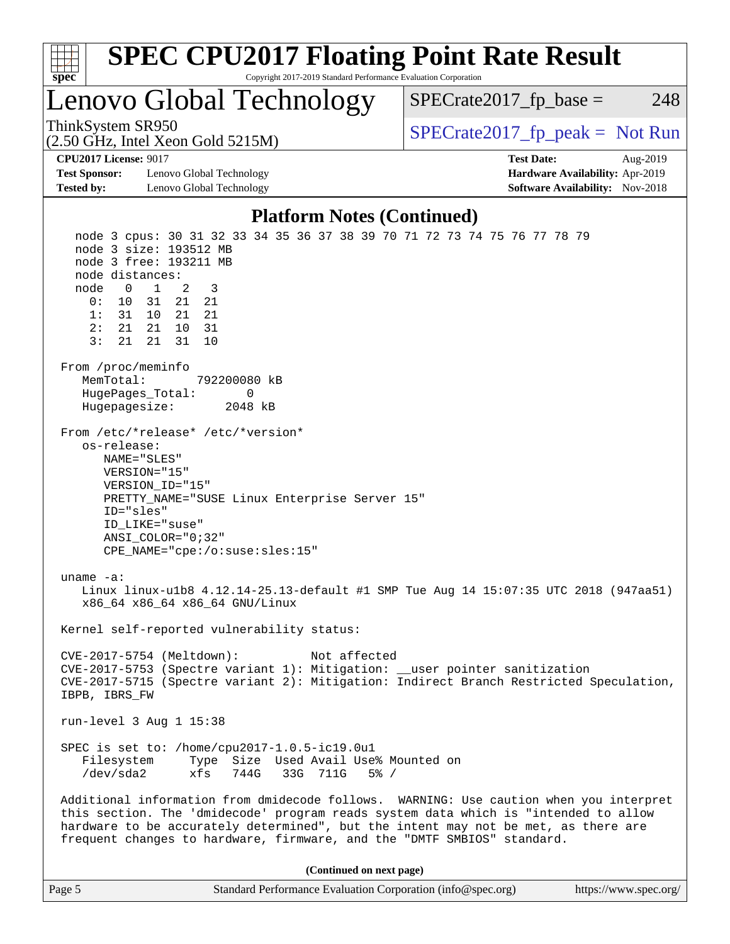| <b>SPEC CPU2017 Floating Point Rate Result</b><br>Copyright 2017-2019 Standard Performance Evaluation Corporation<br>spec <sup>®</sup>                                                                                                                                                                                                                                                                                                                                                                                                                                                                                                                                                                                                                                                                       |                                                                                                     |
|--------------------------------------------------------------------------------------------------------------------------------------------------------------------------------------------------------------------------------------------------------------------------------------------------------------------------------------------------------------------------------------------------------------------------------------------------------------------------------------------------------------------------------------------------------------------------------------------------------------------------------------------------------------------------------------------------------------------------------------------------------------------------------------------------------------|-----------------------------------------------------------------------------------------------------|
| Lenovo Global Technology                                                                                                                                                                                                                                                                                                                                                                                                                                                                                                                                                                                                                                                                                                                                                                                     | $SPECrate2017_fp\_base =$<br>248                                                                    |
| ThinkSystem SR950<br>$(2.50 \text{ GHz}, \text{Intel Xeon Gold } 5215 \text{M})$                                                                                                                                                                                                                                                                                                                                                                                                                                                                                                                                                                                                                                                                                                                             | $SPECrate2017fr peak = Not Run$                                                                     |
| <b>CPU2017 License: 9017</b><br><b>Test Sponsor:</b><br>Lenovo Global Technology<br><b>Tested by:</b><br>Lenovo Global Technology                                                                                                                                                                                                                                                                                                                                                                                                                                                                                                                                                                                                                                                                            | <b>Test Date:</b><br>Aug-2019<br>Hardware Availability: Apr-2019<br>Software Availability: Nov-2018 |
| <b>Platform Notes (Continued)</b>                                                                                                                                                                                                                                                                                                                                                                                                                                                                                                                                                                                                                                                                                                                                                                            |                                                                                                     |
| node 3 cpus: 30 31 32 33 34 35 36 37 38 39 70 71 72 73 74 75 76 77 78 79<br>node 3 size: 193512 MB<br>node 3 free: 193211 MB<br>node distances:<br>node<br>$\overline{0}$<br>1<br>2<br>3<br>21<br>0:<br>10<br>31<br>21<br>1:<br>31<br>10<br>21<br>21<br>2:<br>21 21<br>10<br>31<br>3:<br>31<br>21<br>21<br>10<br>From /proc/meminfo<br>MemTotal:<br>792200080 kB<br>HugePages_Total:<br>0<br>2048 kB<br>Hugepagesize:<br>From /etc/*release* /etc/*version*<br>os-release:<br>NAME="SLES"<br>VERSION="15"<br>VERSION_ID="15"<br>PRETTY_NAME="SUSE Linux Enterprise Server 15"<br>ID="sles"<br>ID LIKE="suse"<br>ANSI COLOR="0;32"<br>CPE_NAME="cpe:/o:suse:sles:15"<br>$uname -a:$<br>Linux linux-ulb8 4.12.14-25.13-default #1 SMP Tue Aug 14 15:07:35 UTC 2018 (947aa51)<br>x86_64 x86_64 x86_64 GNU/Linux |                                                                                                     |
| Kernel self-reported vulnerability status:                                                                                                                                                                                                                                                                                                                                                                                                                                                                                                                                                                                                                                                                                                                                                                   |                                                                                                     |
| CVE-2017-5754 (Meltdown):<br>Not affected<br>CVE-2017-5753 (Spectre variant 1): Mitigation: __user pointer sanitization<br>CVE-2017-5715 (Spectre variant 2): Mitigation: Indirect Branch Restricted Speculation,<br>IBPB, IBRS_FW                                                                                                                                                                                                                                                                                                                                                                                                                                                                                                                                                                           |                                                                                                     |
| run-level $3$ Aug $1$ $15:38$                                                                                                                                                                                                                                                                                                                                                                                                                                                                                                                                                                                                                                                                                                                                                                                |                                                                                                     |
| SPEC is set to: /home/cpu2017-1.0.5-ic19.0u1<br>Type Size Used Avail Use% Mounted on<br>Filesystem<br>/dev/sda2<br>xfs<br>744G<br>33G 711G<br>$5\%$ /                                                                                                                                                                                                                                                                                                                                                                                                                                                                                                                                                                                                                                                        |                                                                                                     |
| Additional information from dmidecode follows. WARNING: Use caution when you interpret<br>this section. The 'dmidecode' program reads system data which is "intended to allow<br>hardware to be accurately determined", but the intent may not be met, as there are<br>frequent changes to hardware, firmware, and the "DMTF SMBIOS" standard.                                                                                                                                                                                                                                                                                                                                                                                                                                                               |                                                                                                     |
| (Continued on next page)                                                                                                                                                                                                                                                                                                                                                                                                                                                                                                                                                                                                                                                                                                                                                                                     |                                                                                                     |

Page 5 Standard Performance Evaluation Corporation [\(info@spec.org\)](mailto:info@spec.org) <https://www.spec.org/>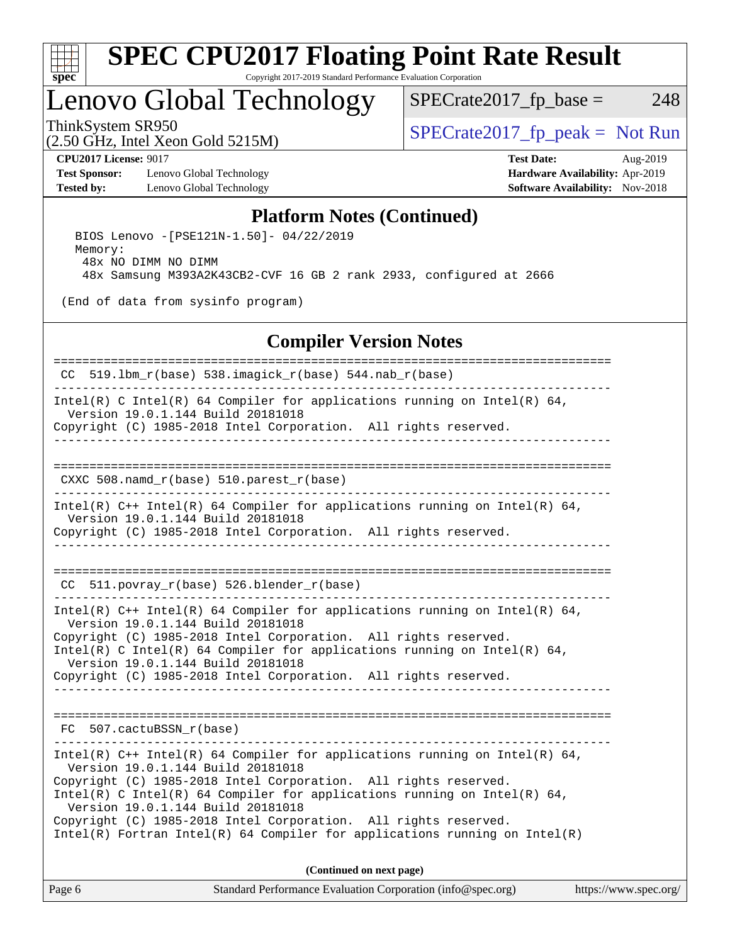

### Lenovo Global Technology

 $SPECTate2017<sub>fr</sub> base = 248$ 

(2.50 GHz, Intel Xeon Gold 5215M)

ThinkSystem SR950<br>  $SPECTI<sub>50</sub> CH<sub>5</sub> Intel Yeson Gold 5215M$ 

**[Test Sponsor:](http://www.spec.org/auto/cpu2017/Docs/result-fields.html#TestSponsor)** Lenovo Global Technology **[Hardware Availability:](http://www.spec.org/auto/cpu2017/Docs/result-fields.html#HardwareAvailability)** Apr-2019 **[Tested by:](http://www.spec.org/auto/cpu2017/Docs/result-fields.html#Testedby)** Lenovo Global Technology **[Software Availability:](http://www.spec.org/auto/cpu2017/Docs/result-fields.html#SoftwareAvailability)** Nov-2018

**[CPU2017 License:](http://www.spec.org/auto/cpu2017/Docs/result-fields.html#CPU2017License)** 9017 **[Test Date:](http://www.spec.org/auto/cpu2017/Docs/result-fields.html#TestDate)** Aug-2019

### **[Platform Notes \(Continued\)](http://www.spec.org/auto/cpu2017/Docs/result-fields.html#PlatformNotes)**

 BIOS Lenovo -[PSE121N-1.50]- 04/22/2019 Memory: 48x NO DIMM NO DIMM 48x Samsung M393A2K43CB2-CVF 16 GB 2 rank 2933, configured at 2666

(End of data from sysinfo program)

### **[Compiler Version Notes](http://www.spec.org/auto/cpu2017/Docs/result-fields.html#CompilerVersionNotes)**

Page 6 Standard Performance Evaluation Corporation [\(info@spec.org\)](mailto:info@spec.org) <https://www.spec.org/> ============================================================================== CC 519.lbm\_r(base) 538.imagick\_r(base) 544.nab\_r(base) ------------------------------------------------------------------------------ Intel(R) C Intel(R) 64 Compiler for applications running on Intel(R) 64, Version 19.0.1.144 Build 20181018 Copyright (C) 1985-2018 Intel Corporation. All rights reserved. ------------------------------------------------------------------------------ ============================================================================== CXXC 508.namd  $r(base)$  510.parest  $r(base)$ ------------------------------------------------------------------------------ Intel(R) C++ Intel(R) 64 Compiler for applications running on Intel(R) 64, Version 19.0.1.144 Build 20181018 Copyright (C) 1985-2018 Intel Corporation. All rights reserved. ------------------------------------------------------------------------------ ============================================================================== CC 511.povray\_r(base) 526.blender\_r(base) ------------------------------------------------------------------------------ Intel(R)  $C++$  Intel(R) 64 Compiler for applications running on Intel(R) 64, Version 19.0.1.144 Build 20181018 Copyright (C) 1985-2018 Intel Corporation. All rights reserved. Intel(R) C Intel(R) 64 Compiler for applications running on Intel(R)  $64$ , Version 19.0.1.144 Build 20181018 Copyright (C) 1985-2018 Intel Corporation. All rights reserved. ------------------------------------------------------------------------------ ============================================================================== FC 507.cactuBSSN\_r(base) ------------------------------------------------------------------------------ Intel(R)  $C++$  Intel(R) 64 Compiler for applications running on Intel(R) 64, Version 19.0.1.144 Build 20181018 Copyright (C) 1985-2018 Intel Corporation. All rights reserved. Intel(R) C Intel(R) 64 Compiler for applications running on Intel(R)  $64$ , Version 19.0.1.144 Build 20181018 Copyright (C) 1985-2018 Intel Corporation. All rights reserved. Intel(R) Fortran Intel(R) 64 Compiler for applications running on Intel(R) **(Continued on next page)**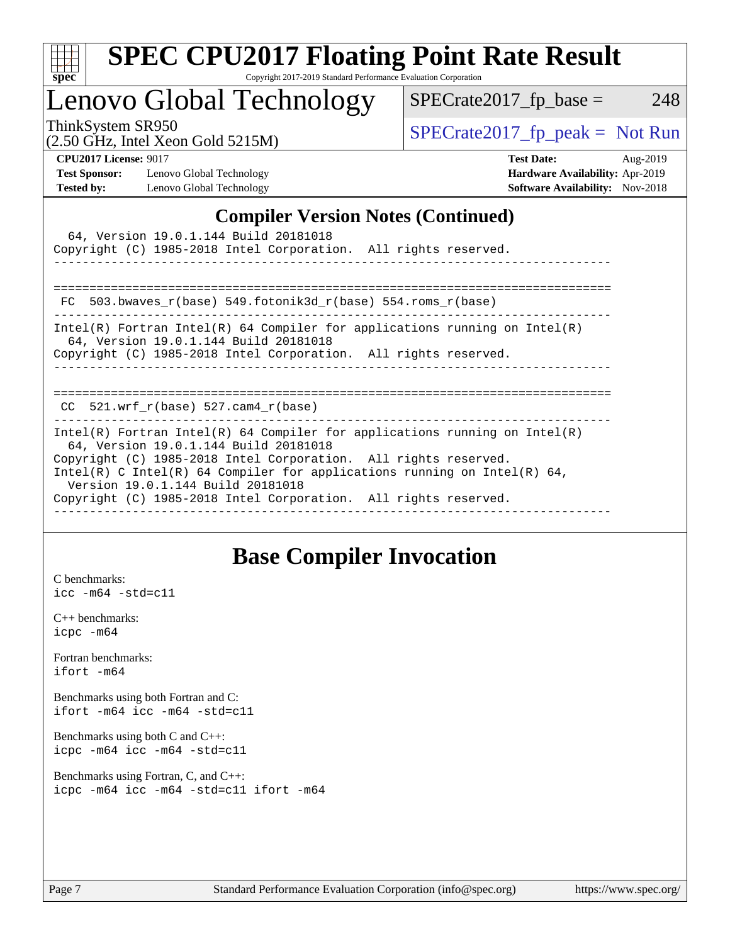| S.<br>De<br>۱. |  |  |  |  |  |  |
|----------------|--|--|--|--|--|--|

### Lenovo Global Technology

ThinkSystem SR950<br>  $\begin{array}{r} \text{SPECrate2017\_fp\_peak = Not Run} \\ \text{SPECrate2017\_fp\_peak = Not Run} \end{array}$ 

 $SPECTate2017_fp\_base = 248$ 

#### (2.50 GHz, Intel Xeon Gold 5215M)

**[Test Sponsor:](http://www.spec.org/auto/cpu2017/Docs/result-fields.html#TestSponsor)** Lenovo Global Technology **[Hardware Availability:](http://www.spec.org/auto/cpu2017/Docs/result-fields.html#HardwareAvailability)** Apr-2019 **[Tested by:](http://www.spec.org/auto/cpu2017/Docs/result-fields.html#Testedby)** Lenovo Global Technology **[Software Availability:](http://www.spec.org/auto/cpu2017/Docs/result-fields.html#SoftwareAvailability)** Nov-2018

**[CPU2017 License:](http://www.spec.org/auto/cpu2017/Docs/result-fields.html#CPU2017License)** 9017 **[Test Date:](http://www.spec.org/auto/cpu2017/Docs/result-fields.html#TestDate)** Aug-2019

### **[Compiler Version Notes \(Continued\)](http://www.spec.org/auto/cpu2017/Docs/result-fields.html#CompilerVersionNotes)**

|  | 64, Version 19.0.1.144 Build 20181018<br>Copyright (C) 1985-2018 Intel Corporation. All rights reserved.                                                                                                         |  |                                                                                                                                                          |
|--|------------------------------------------------------------------------------------------------------------------------------------------------------------------------------------------------------------------|--|----------------------------------------------------------------------------------------------------------------------------------------------------------|
|  | FC 503.bwaves $r(base)$ 549.fotonik3d $r(base)$ 554.roms $r(base)$                                                                                                                                               |  |                                                                                                                                                          |
|  | 64, Version 19.0.1.144 Build 20181018<br>Copyright (C) 1985-2018 Intel Corporation. All rights reserved.                                                                                                         |  | Intel(R) Fortran Intel(R) 64 Compiler for applications running on Intel(R)                                                                               |
|  | CC $521.$ wrf r(base) 527.cam4 r(base)                                                                                                                                                                           |  |                                                                                                                                                          |
|  | 64, Version 19.0.1.144 Build 20181018<br>Copyright (C) 1985-2018 Intel Corporation. All rights reserved.<br>Version 19.0.1.144 Build 20181018<br>Copyright (C) 1985-2018 Intel Corporation. All rights reserved. |  | $Intel(R)$ Fortran Intel(R) 64 Compiler for applications running on Intel(R)<br>Intel(R) C Intel(R) 64 Compiler for applications running on Intel(R) 64, |

### **[Base Compiler Invocation](http://www.spec.org/auto/cpu2017/Docs/result-fields.html#BaseCompilerInvocation)**

[C benchmarks](http://www.spec.org/auto/cpu2017/Docs/result-fields.html#Cbenchmarks): [icc -m64 -std=c11](http://www.spec.org/cpu2017/results/res2019q3/cpu2017-20190805-16656.flags.html#user_CCbase_intel_icc_64bit_c11_33ee0cdaae7deeeab2a9725423ba97205ce30f63b9926c2519791662299b76a0318f32ddfffdc46587804de3178b4f9328c46fa7c2b0cd779d7a61945c91cd35)

[C++ benchmarks:](http://www.spec.org/auto/cpu2017/Docs/result-fields.html#CXXbenchmarks) [icpc -m64](http://www.spec.org/cpu2017/results/res2019q3/cpu2017-20190805-16656.flags.html#user_CXXbase_intel_icpc_64bit_4ecb2543ae3f1412ef961e0650ca070fec7b7afdcd6ed48761b84423119d1bf6bdf5cad15b44d48e7256388bc77273b966e5eb805aefd121eb22e9299b2ec9d9)

[Fortran benchmarks](http://www.spec.org/auto/cpu2017/Docs/result-fields.html#Fortranbenchmarks): [ifort -m64](http://www.spec.org/cpu2017/results/res2019q3/cpu2017-20190805-16656.flags.html#user_FCbase_intel_ifort_64bit_24f2bb282fbaeffd6157abe4f878425411749daecae9a33200eee2bee2fe76f3b89351d69a8130dd5949958ce389cf37ff59a95e7a40d588e8d3a57e0c3fd751)

[Benchmarks using both Fortran and C](http://www.spec.org/auto/cpu2017/Docs/result-fields.html#BenchmarksusingbothFortranandC): [ifort -m64](http://www.spec.org/cpu2017/results/res2019q3/cpu2017-20190805-16656.flags.html#user_CC_FCbase_intel_ifort_64bit_24f2bb282fbaeffd6157abe4f878425411749daecae9a33200eee2bee2fe76f3b89351d69a8130dd5949958ce389cf37ff59a95e7a40d588e8d3a57e0c3fd751) [icc -m64 -std=c11](http://www.spec.org/cpu2017/results/res2019q3/cpu2017-20190805-16656.flags.html#user_CC_FCbase_intel_icc_64bit_c11_33ee0cdaae7deeeab2a9725423ba97205ce30f63b9926c2519791662299b76a0318f32ddfffdc46587804de3178b4f9328c46fa7c2b0cd779d7a61945c91cd35)

[Benchmarks using both C and C++](http://www.spec.org/auto/cpu2017/Docs/result-fields.html#BenchmarksusingbothCandCXX): [icpc -m64](http://www.spec.org/cpu2017/results/res2019q3/cpu2017-20190805-16656.flags.html#user_CC_CXXbase_intel_icpc_64bit_4ecb2543ae3f1412ef961e0650ca070fec7b7afdcd6ed48761b84423119d1bf6bdf5cad15b44d48e7256388bc77273b966e5eb805aefd121eb22e9299b2ec9d9) [icc -m64 -std=c11](http://www.spec.org/cpu2017/results/res2019q3/cpu2017-20190805-16656.flags.html#user_CC_CXXbase_intel_icc_64bit_c11_33ee0cdaae7deeeab2a9725423ba97205ce30f63b9926c2519791662299b76a0318f32ddfffdc46587804de3178b4f9328c46fa7c2b0cd779d7a61945c91cd35)

[Benchmarks using Fortran, C, and C++:](http://www.spec.org/auto/cpu2017/Docs/result-fields.html#BenchmarksusingFortranCandCXX) [icpc -m64](http://www.spec.org/cpu2017/results/res2019q3/cpu2017-20190805-16656.flags.html#user_CC_CXX_FCbase_intel_icpc_64bit_4ecb2543ae3f1412ef961e0650ca070fec7b7afdcd6ed48761b84423119d1bf6bdf5cad15b44d48e7256388bc77273b966e5eb805aefd121eb22e9299b2ec9d9) [icc -m64 -std=c11](http://www.spec.org/cpu2017/results/res2019q3/cpu2017-20190805-16656.flags.html#user_CC_CXX_FCbase_intel_icc_64bit_c11_33ee0cdaae7deeeab2a9725423ba97205ce30f63b9926c2519791662299b76a0318f32ddfffdc46587804de3178b4f9328c46fa7c2b0cd779d7a61945c91cd35) [ifort -m64](http://www.spec.org/cpu2017/results/res2019q3/cpu2017-20190805-16656.flags.html#user_CC_CXX_FCbase_intel_ifort_64bit_24f2bb282fbaeffd6157abe4f878425411749daecae9a33200eee2bee2fe76f3b89351d69a8130dd5949958ce389cf37ff59a95e7a40d588e8d3a57e0c3fd751)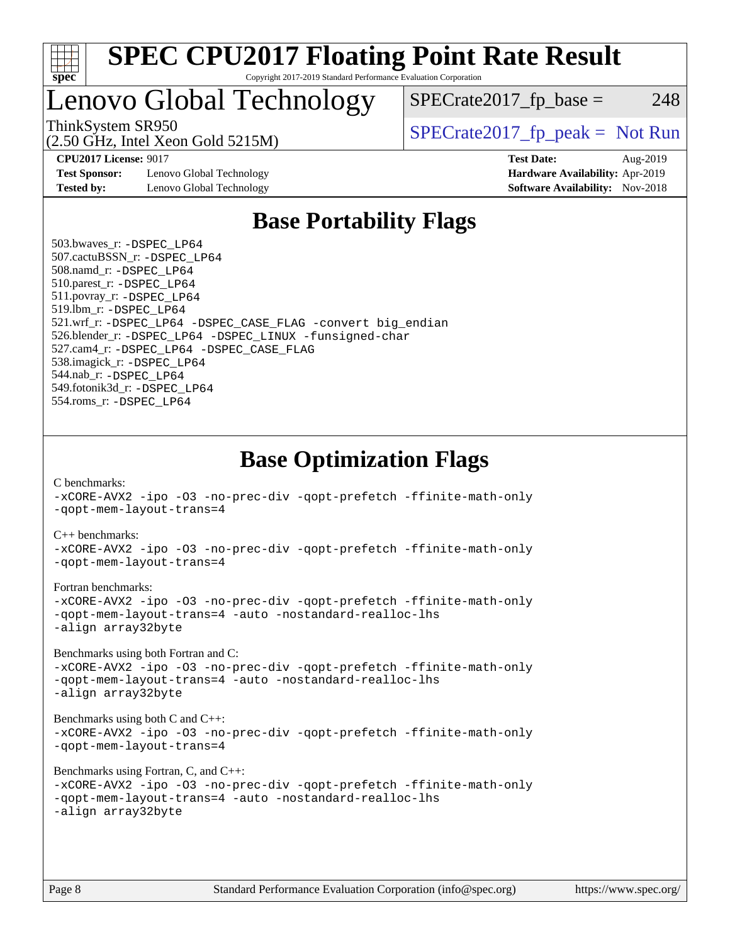

### Lenovo Global Technology

ThinkSystem SR950<br>  $S$ PECrate2017\_fp\_peak = Not Run

 $SPECTate2017<sub>fr</sub> base = 248$ 

(2.50 GHz, Intel Xeon Gold 5215M)

**[Test Sponsor:](http://www.spec.org/auto/cpu2017/Docs/result-fields.html#TestSponsor)** Lenovo Global Technology **[Hardware Availability:](http://www.spec.org/auto/cpu2017/Docs/result-fields.html#HardwareAvailability)** Apr-2019 **[Tested by:](http://www.spec.org/auto/cpu2017/Docs/result-fields.html#Testedby)** Lenovo Global Technology **[Software Availability:](http://www.spec.org/auto/cpu2017/Docs/result-fields.html#SoftwareAvailability)** Nov-2018

**[CPU2017 License:](http://www.spec.org/auto/cpu2017/Docs/result-fields.html#CPU2017License)** 9017 **[Test Date:](http://www.spec.org/auto/cpu2017/Docs/result-fields.html#TestDate)** Aug-2019

### **[Base Portability Flags](http://www.spec.org/auto/cpu2017/Docs/result-fields.html#BasePortabilityFlags)**

 503.bwaves\_r: [-DSPEC\\_LP64](http://www.spec.org/cpu2017/results/res2019q3/cpu2017-20190805-16656.flags.html#suite_basePORTABILITY503_bwaves_r_DSPEC_LP64) 507.cactuBSSN\_r: [-DSPEC\\_LP64](http://www.spec.org/cpu2017/results/res2019q3/cpu2017-20190805-16656.flags.html#suite_basePORTABILITY507_cactuBSSN_r_DSPEC_LP64) 508.namd\_r: [-DSPEC\\_LP64](http://www.spec.org/cpu2017/results/res2019q3/cpu2017-20190805-16656.flags.html#suite_basePORTABILITY508_namd_r_DSPEC_LP64) 510.parest\_r: [-DSPEC\\_LP64](http://www.spec.org/cpu2017/results/res2019q3/cpu2017-20190805-16656.flags.html#suite_basePORTABILITY510_parest_r_DSPEC_LP64) 511.povray\_r: [-DSPEC\\_LP64](http://www.spec.org/cpu2017/results/res2019q3/cpu2017-20190805-16656.flags.html#suite_basePORTABILITY511_povray_r_DSPEC_LP64) 519.lbm\_r: [-DSPEC\\_LP64](http://www.spec.org/cpu2017/results/res2019q3/cpu2017-20190805-16656.flags.html#suite_basePORTABILITY519_lbm_r_DSPEC_LP64) 521.wrf\_r: [-DSPEC\\_LP64](http://www.spec.org/cpu2017/results/res2019q3/cpu2017-20190805-16656.flags.html#suite_basePORTABILITY521_wrf_r_DSPEC_LP64) [-DSPEC\\_CASE\\_FLAG](http://www.spec.org/cpu2017/results/res2019q3/cpu2017-20190805-16656.flags.html#b521.wrf_r_baseCPORTABILITY_DSPEC_CASE_FLAG) [-convert big\\_endian](http://www.spec.org/cpu2017/results/res2019q3/cpu2017-20190805-16656.flags.html#user_baseFPORTABILITY521_wrf_r_convert_big_endian_c3194028bc08c63ac5d04de18c48ce6d347e4e562e8892b8bdbdc0214820426deb8554edfa529a3fb25a586e65a3d812c835984020483e7e73212c4d31a38223) 526.blender\_r: [-DSPEC\\_LP64](http://www.spec.org/cpu2017/results/res2019q3/cpu2017-20190805-16656.flags.html#suite_basePORTABILITY526_blender_r_DSPEC_LP64) [-DSPEC\\_LINUX](http://www.spec.org/cpu2017/results/res2019q3/cpu2017-20190805-16656.flags.html#b526.blender_r_baseCPORTABILITY_DSPEC_LINUX) [-funsigned-char](http://www.spec.org/cpu2017/results/res2019q3/cpu2017-20190805-16656.flags.html#user_baseCPORTABILITY526_blender_r_force_uchar_40c60f00ab013830e2dd6774aeded3ff59883ba5a1fc5fc14077f794d777847726e2a5858cbc7672e36e1b067e7e5c1d9a74f7176df07886a243d7cc18edfe67) 527.cam4\_r: [-DSPEC\\_LP64](http://www.spec.org/cpu2017/results/res2019q3/cpu2017-20190805-16656.flags.html#suite_basePORTABILITY527_cam4_r_DSPEC_LP64) [-DSPEC\\_CASE\\_FLAG](http://www.spec.org/cpu2017/results/res2019q3/cpu2017-20190805-16656.flags.html#b527.cam4_r_baseCPORTABILITY_DSPEC_CASE_FLAG) 538.imagick\_r: [-DSPEC\\_LP64](http://www.spec.org/cpu2017/results/res2019q3/cpu2017-20190805-16656.flags.html#suite_basePORTABILITY538_imagick_r_DSPEC_LP64) 544.nab\_r: [-DSPEC\\_LP64](http://www.spec.org/cpu2017/results/res2019q3/cpu2017-20190805-16656.flags.html#suite_basePORTABILITY544_nab_r_DSPEC_LP64) 549.fotonik3d\_r: [-DSPEC\\_LP64](http://www.spec.org/cpu2017/results/res2019q3/cpu2017-20190805-16656.flags.html#suite_basePORTABILITY549_fotonik3d_r_DSPEC_LP64) 554.roms\_r: [-DSPEC\\_LP64](http://www.spec.org/cpu2017/results/res2019q3/cpu2017-20190805-16656.flags.html#suite_basePORTABILITY554_roms_r_DSPEC_LP64)

**[Base Optimization Flags](http://www.spec.org/auto/cpu2017/Docs/result-fields.html#BaseOptimizationFlags)**

[C benchmarks](http://www.spec.org/auto/cpu2017/Docs/result-fields.html#Cbenchmarks):

[-xCORE-AVX2](http://www.spec.org/cpu2017/results/res2019q3/cpu2017-20190805-16656.flags.html#user_CCbase_f-xCORE-AVX2) [-ipo](http://www.spec.org/cpu2017/results/res2019q3/cpu2017-20190805-16656.flags.html#user_CCbase_f-ipo) [-O3](http://www.spec.org/cpu2017/results/res2019q3/cpu2017-20190805-16656.flags.html#user_CCbase_f-O3) [-no-prec-div](http://www.spec.org/cpu2017/results/res2019q3/cpu2017-20190805-16656.flags.html#user_CCbase_f-no-prec-div) [-qopt-prefetch](http://www.spec.org/cpu2017/results/res2019q3/cpu2017-20190805-16656.flags.html#user_CCbase_f-qopt-prefetch) [-ffinite-math-only](http://www.spec.org/cpu2017/results/res2019q3/cpu2017-20190805-16656.flags.html#user_CCbase_f_finite_math_only_cb91587bd2077682c4b38af759c288ed7c732db004271a9512da14a4f8007909a5f1427ecbf1a0fb78ff2a814402c6114ac565ca162485bbcae155b5e4258871) [-qopt-mem-layout-trans=4](http://www.spec.org/cpu2017/results/res2019q3/cpu2017-20190805-16656.flags.html#user_CCbase_f-qopt-mem-layout-trans_fa39e755916c150a61361b7846f310bcdf6f04e385ef281cadf3647acec3f0ae266d1a1d22d972a7087a248fd4e6ca390a3634700869573d231a252c784941a8) [C++ benchmarks:](http://www.spec.org/auto/cpu2017/Docs/result-fields.html#CXXbenchmarks) [-xCORE-AVX2](http://www.spec.org/cpu2017/results/res2019q3/cpu2017-20190805-16656.flags.html#user_CXXbase_f-xCORE-AVX2) [-ipo](http://www.spec.org/cpu2017/results/res2019q3/cpu2017-20190805-16656.flags.html#user_CXXbase_f-ipo) [-O3](http://www.spec.org/cpu2017/results/res2019q3/cpu2017-20190805-16656.flags.html#user_CXXbase_f-O3) [-no-prec-div](http://www.spec.org/cpu2017/results/res2019q3/cpu2017-20190805-16656.flags.html#user_CXXbase_f-no-prec-div) [-qopt-prefetch](http://www.spec.org/cpu2017/results/res2019q3/cpu2017-20190805-16656.flags.html#user_CXXbase_f-qopt-prefetch) [-ffinite-math-only](http://www.spec.org/cpu2017/results/res2019q3/cpu2017-20190805-16656.flags.html#user_CXXbase_f_finite_math_only_cb91587bd2077682c4b38af759c288ed7c732db004271a9512da14a4f8007909a5f1427ecbf1a0fb78ff2a814402c6114ac565ca162485bbcae155b5e4258871) [-qopt-mem-layout-trans=4](http://www.spec.org/cpu2017/results/res2019q3/cpu2017-20190805-16656.flags.html#user_CXXbase_f-qopt-mem-layout-trans_fa39e755916c150a61361b7846f310bcdf6f04e385ef281cadf3647acec3f0ae266d1a1d22d972a7087a248fd4e6ca390a3634700869573d231a252c784941a8) [Fortran benchmarks](http://www.spec.org/auto/cpu2017/Docs/result-fields.html#Fortranbenchmarks): [-xCORE-AVX2](http://www.spec.org/cpu2017/results/res2019q3/cpu2017-20190805-16656.flags.html#user_FCbase_f-xCORE-AVX2) [-ipo](http://www.spec.org/cpu2017/results/res2019q3/cpu2017-20190805-16656.flags.html#user_FCbase_f-ipo) [-O3](http://www.spec.org/cpu2017/results/res2019q3/cpu2017-20190805-16656.flags.html#user_FCbase_f-O3) [-no-prec-div](http://www.spec.org/cpu2017/results/res2019q3/cpu2017-20190805-16656.flags.html#user_FCbase_f-no-prec-div) [-qopt-prefetch](http://www.spec.org/cpu2017/results/res2019q3/cpu2017-20190805-16656.flags.html#user_FCbase_f-qopt-prefetch) [-ffinite-math-only](http://www.spec.org/cpu2017/results/res2019q3/cpu2017-20190805-16656.flags.html#user_FCbase_f_finite_math_only_cb91587bd2077682c4b38af759c288ed7c732db004271a9512da14a4f8007909a5f1427ecbf1a0fb78ff2a814402c6114ac565ca162485bbcae155b5e4258871) [-qopt-mem-layout-trans=4](http://www.spec.org/cpu2017/results/res2019q3/cpu2017-20190805-16656.flags.html#user_FCbase_f-qopt-mem-layout-trans_fa39e755916c150a61361b7846f310bcdf6f04e385ef281cadf3647acec3f0ae266d1a1d22d972a7087a248fd4e6ca390a3634700869573d231a252c784941a8) [-auto](http://www.spec.org/cpu2017/results/res2019q3/cpu2017-20190805-16656.flags.html#user_FCbase_f-auto) [-nostandard-realloc-lhs](http://www.spec.org/cpu2017/results/res2019q3/cpu2017-20190805-16656.flags.html#user_FCbase_f_2003_std_realloc_82b4557e90729c0f113870c07e44d33d6f5a304b4f63d4c15d2d0f1fab99f5daaed73bdb9275d9ae411527f28b936061aa8b9c8f2d63842963b95c9dd6426b8a) [-align array32byte](http://www.spec.org/cpu2017/results/res2019q3/cpu2017-20190805-16656.flags.html#user_FCbase_align_array32byte_b982fe038af199962ba9a80c053b8342c548c85b40b8e86eb3cc33dee0d7986a4af373ac2d51c3f7cf710a18d62fdce2948f201cd044323541f22fc0fffc51b6) [Benchmarks using both Fortran and C](http://www.spec.org/auto/cpu2017/Docs/result-fields.html#BenchmarksusingbothFortranandC): [-xCORE-AVX2](http://www.spec.org/cpu2017/results/res2019q3/cpu2017-20190805-16656.flags.html#user_CC_FCbase_f-xCORE-AVX2) [-ipo](http://www.spec.org/cpu2017/results/res2019q3/cpu2017-20190805-16656.flags.html#user_CC_FCbase_f-ipo) [-O3](http://www.spec.org/cpu2017/results/res2019q3/cpu2017-20190805-16656.flags.html#user_CC_FCbase_f-O3) [-no-prec-div](http://www.spec.org/cpu2017/results/res2019q3/cpu2017-20190805-16656.flags.html#user_CC_FCbase_f-no-prec-div) [-qopt-prefetch](http://www.spec.org/cpu2017/results/res2019q3/cpu2017-20190805-16656.flags.html#user_CC_FCbase_f-qopt-prefetch) [-ffinite-math-only](http://www.spec.org/cpu2017/results/res2019q3/cpu2017-20190805-16656.flags.html#user_CC_FCbase_f_finite_math_only_cb91587bd2077682c4b38af759c288ed7c732db004271a9512da14a4f8007909a5f1427ecbf1a0fb78ff2a814402c6114ac565ca162485bbcae155b5e4258871) [-qopt-mem-layout-trans=4](http://www.spec.org/cpu2017/results/res2019q3/cpu2017-20190805-16656.flags.html#user_CC_FCbase_f-qopt-mem-layout-trans_fa39e755916c150a61361b7846f310bcdf6f04e385ef281cadf3647acec3f0ae266d1a1d22d972a7087a248fd4e6ca390a3634700869573d231a252c784941a8) [-auto](http://www.spec.org/cpu2017/results/res2019q3/cpu2017-20190805-16656.flags.html#user_CC_FCbase_f-auto) [-nostandard-realloc-lhs](http://www.spec.org/cpu2017/results/res2019q3/cpu2017-20190805-16656.flags.html#user_CC_FCbase_f_2003_std_realloc_82b4557e90729c0f113870c07e44d33d6f5a304b4f63d4c15d2d0f1fab99f5daaed73bdb9275d9ae411527f28b936061aa8b9c8f2d63842963b95c9dd6426b8a) [-align array32byte](http://www.spec.org/cpu2017/results/res2019q3/cpu2017-20190805-16656.flags.html#user_CC_FCbase_align_array32byte_b982fe038af199962ba9a80c053b8342c548c85b40b8e86eb3cc33dee0d7986a4af373ac2d51c3f7cf710a18d62fdce2948f201cd044323541f22fc0fffc51b6) [Benchmarks using both C and C++](http://www.spec.org/auto/cpu2017/Docs/result-fields.html#BenchmarksusingbothCandCXX): [-xCORE-AVX2](http://www.spec.org/cpu2017/results/res2019q3/cpu2017-20190805-16656.flags.html#user_CC_CXXbase_f-xCORE-AVX2) [-ipo](http://www.spec.org/cpu2017/results/res2019q3/cpu2017-20190805-16656.flags.html#user_CC_CXXbase_f-ipo) [-O3](http://www.spec.org/cpu2017/results/res2019q3/cpu2017-20190805-16656.flags.html#user_CC_CXXbase_f-O3) [-no-prec-div](http://www.spec.org/cpu2017/results/res2019q3/cpu2017-20190805-16656.flags.html#user_CC_CXXbase_f-no-prec-div) [-qopt-prefetch](http://www.spec.org/cpu2017/results/res2019q3/cpu2017-20190805-16656.flags.html#user_CC_CXXbase_f-qopt-prefetch) [-ffinite-math-only](http://www.spec.org/cpu2017/results/res2019q3/cpu2017-20190805-16656.flags.html#user_CC_CXXbase_f_finite_math_only_cb91587bd2077682c4b38af759c288ed7c732db004271a9512da14a4f8007909a5f1427ecbf1a0fb78ff2a814402c6114ac565ca162485bbcae155b5e4258871) [-qopt-mem-layout-trans=4](http://www.spec.org/cpu2017/results/res2019q3/cpu2017-20190805-16656.flags.html#user_CC_CXXbase_f-qopt-mem-layout-trans_fa39e755916c150a61361b7846f310bcdf6f04e385ef281cadf3647acec3f0ae266d1a1d22d972a7087a248fd4e6ca390a3634700869573d231a252c784941a8) [Benchmarks using Fortran, C, and C++:](http://www.spec.org/auto/cpu2017/Docs/result-fields.html#BenchmarksusingFortranCandCXX) [-xCORE-AVX2](http://www.spec.org/cpu2017/results/res2019q3/cpu2017-20190805-16656.flags.html#user_CC_CXX_FCbase_f-xCORE-AVX2) [-ipo](http://www.spec.org/cpu2017/results/res2019q3/cpu2017-20190805-16656.flags.html#user_CC_CXX_FCbase_f-ipo) [-O3](http://www.spec.org/cpu2017/results/res2019q3/cpu2017-20190805-16656.flags.html#user_CC_CXX_FCbase_f-O3) [-no-prec-div](http://www.spec.org/cpu2017/results/res2019q3/cpu2017-20190805-16656.flags.html#user_CC_CXX_FCbase_f-no-prec-div) [-qopt-prefetch](http://www.spec.org/cpu2017/results/res2019q3/cpu2017-20190805-16656.flags.html#user_CC_CXX_FCbase_f-qopt-prefetch) [-ffinite-math-only](http://www.spec.org/cpu2017/results/res2019q3/cpu2017-20190805-16656.flags.html#user_CC_CXX_FCbase_f_finite_math_only_cb91587bd2077682c4b38af759c288ed7c732db004271a9512da14a4f8007909a5f1427ecbf1a0fb78ff2a814402c6114ac565ca162485bbcae155b5e4258871) [-qopt-mem-layout-trans=4](http://www.spec.org/cpu2017/results/res2019q3/cpu2017-20190805-16656.flags.html#user_CC_CXX_FCbase_f-qopt-mem-layout-trans_fa39e755916c150a61361b7846f310bcdf6f04e385ef281cadf3647acec3f0ae266d1a1d22d972a7087a248fd4e6ca390a3634700869573d231a252c784941a8) [-auto](http://www.spec.org/cpu2017/results/res2019q3/cpu2017-20190805-16656.flags.html#user_CC_CXX_FCbase_f-auto) [-nostandard-realloc-lhs](http://www.spec.org/cpu2017/results/res2019q3/cpu2017-20190805-16656.flags.html#user_CC_CXX_FCbase_f_2003_std_realloc_82b4557e90729c0f113870c07e44d33d6f5a304b4f63d4c15d2d0f1fab99f5daaed73bdb9275d9ae411527f28b936061aa8b9c8f2d63842963b95c9dd6426b8a) [-align array32byte](http://www.spec.org/cpu2017/results/res2019q3/cpu2017-20190805-16656.flags.html#user_CC_CXX_FCbase_align_array32byte_b982fe038af199962ba9a80c053b8342c548c85b40b8e86eb3cc33dee0d7986a4af373ac2d51c3f7cf710a18d62fdce2948f201cd044323541f22fc0fffc51b6)